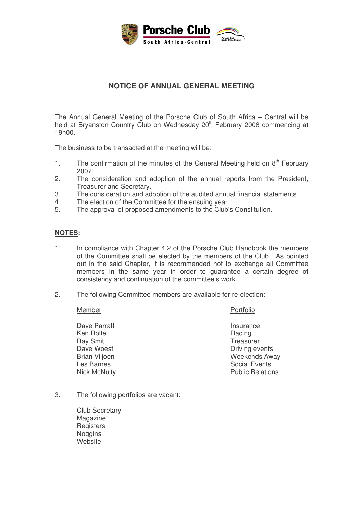

## **NOTICE OF ANNUAL GENERAL MEETING**

The Annual General Meeting of the Porsche Club of South Africa – Central will be held at Bryanston Country Club on Wednesday 20<sup>th</sup> February 2008 commencing at 19h00.

The business to be transacted at the meeting will be:

- 1. The confirmation of the minutes of the General Meeting held on 8<sup>th</sup> February 2007.
- 2. The consideration and adoption of the annual reports from the President, Treasurer and Secretary.
- 3. The consideration and adoption of the audited annual financial statements.
- 4. The election of the Committee for the ensuing year.
- 5. The approval of proposed amendments to the Club's Constitution.

## **NOTES:**

- 1. In compliance with Chapter 4.2 of the Porsche Club Handbook the members of the Committee shall be elected by the members of the Club. As pointed out in the said Chapter, it is recommended not to exchange all Committee members in the same year in order to guarantee a certain degree of consistency and continuation of the committee's work.
- 2. The following Committee members are available for re-election:

## Member Portfolio

Dave Parratt Insurance<br>
Insurance<br>
Ken Rolfe Insurance<br>
Insurance<br>
Racing Ken Rolfe Ray Smit **Treasurer** 

Dave Woest **Driving events** Brian Viljoen November 2012 1991 Weekends Away<br>Les Barnes November 2013 1992 Social Events Social Events Nick McNulty **Public Relations** 

- 3. The following portfolios are vacant:'
	- Club Secretary Magazine **Registers Noggins Website**